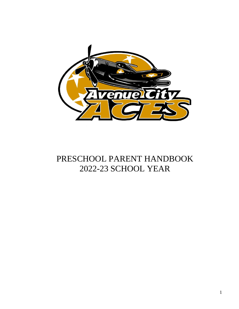

# PRESCHOOL PARENT HANDBOOK 2022-23 SCHOOL YEAR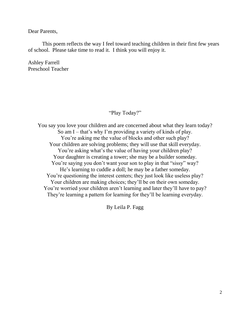Dear Parents,

This poem reflects the way I feel toward teaching children in their first few years of school. Please take time to read it. I think you will enjoy it.

Ashley Farrell Preschool Teacher

#### "Play Today?"

You say you love your children and are concerned about what they learn today? So am I – that's why I'm providing a variety of kinds of play. You're asking me the value of blocks and other such play? Your children are solving problems; they will use that skill everyday. You're asking what's the value of having your children play? Your daughter is creating a tower; she may be a builder someday. You're saying you don't want your son to play in that "sissy" way? He's learning to cuddle a doll; he may be a father someday. You're questioning the interest centers; they just look like useless play? Your children are making choices; they'll be on their own someday. You're worried your children aren't learning and later they'll have to pay? They're learning a pattern for learning for they'll be learning everyday.

By Leila P. Fagg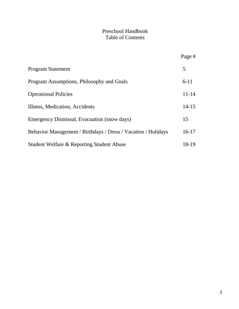# Preschool Handbook Table of Contents

|                                                               | Page #    |
|---------------------------------------------------------------|-----------|
| <b>Program Statement</b>                                      | 5         |
| Program Assumptions, Philosophy and Goals                     | $6 - 11$  |
| <b>Operational Policies</b>                                   | $11 - 14$ |
| Illness, Medication, Accidents                                | $14 - 15$ |
| Emergency Dismissal, Evacuation (snow days)                   | 15        |
| Behavior Management / Birthdays / Dress / Vacation / Holidays | $16-17$   |
| Student Welfare & Reporting Student Abuse                     | 18-19     |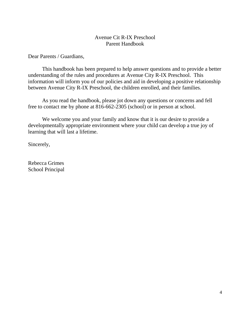#### Avenue Cit R-IX Preschool Parent Handbook

Dear Parents / Guardians,

This handbook has been prepared to help answer questions and to provide a better understanding of the rules and procedures at Avenue City R-IX Preschool. This information will inform you of our policies and aid in developing a positive relationship between Avenue City R-IX Preschool, the children enrolled, and their families.

As you read the handbook, please jot down any questions or concerns and fell free to contact me by phone at 816-662-2305 (school) or in person at school.

We welcome you and your family and know that it is our desire to provide a developmentally appropriate environment where your child can develop a true joy of learning that will last a lifetime.

Sincerely,

Rebecca Grimes School Principal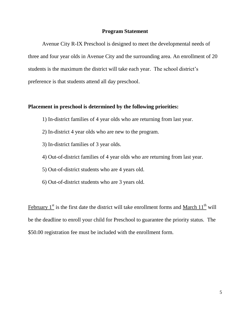#### **Program Statement**

Avenue City R-IX Preschool is designed to meet the developmental needs of three and four year olds in Avenue City and the surrounding area. An enrollment of 20 students is the maximum the district will take each year. The school district's preference is that students attend all day preschool.

#### **Placement in preschool is determined by the following priorities:**

- 1) In-district families of 4 year olds who are returning from last year.
- 2) In-district 4 year olds who are new to the program.
- 3) In-district families of 3 year olds.
- 4) Out-of-district families of 4 year olds who are returning from last year.
- 5) Out-of-district students who are 4 years old.
- 6) Out-of-district students who are 3 years old.

February  $1<sup>st</sup>$  is the first date the district will take enrollment forms and March  $11<sup>th</sup>$  will be the deadline to enroll your child for Preschool to guarantee the priority status. The \$50.00 registration fee must be included with the enrollment form.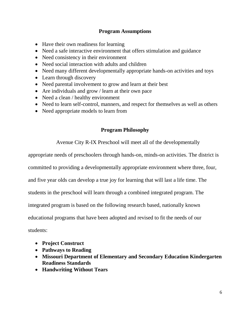#### **Program Assumptions**

- Have their own readiness for learning
- Need a safe interactive environment that offers stimulation and guidance
- Need consistency in their environment
- Need social interaction with adults and children
- Need many different developmentally appropriate hands-on activities and toys
- Learn through discovery
- Need parental involvement to grow and learn at their best
- Are individuals and grow / learn at their own pace
- Need a clean / healthy environment
- Need to learn self-control, manners, and respect for themselves as well as others
- Need appropriate models to learn from

#### **Program Philosophy**

Avenue City R-IX Preschool will meet all of the developmentally

appropriate needs of preschoolers through hands-on, minds-on activities. The district is

committed to providing a developmentally appropriate environment where three, four,

and five year olds can develop a true joy for learning that will last a life time. The

students in the preschool will learn through a combined integrated program. The

integrated program is based on the following research based, nationally known

educational programs that have been adopted and revised to fit the needs of our

students:

- **Project Construct**
- **Pathways to Reading**
- **Missouri Department of Elementary and Secondary Education Kindergarten Readiness Standards**
- **Handwriting Without Tears**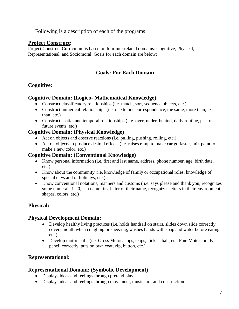Following is a description of each of the programs:

#### **Project Construct:**

Project Construct Curriculum is based on four interrelated domains: Cognitive, Physical, Representational, and Sociomoral. Goals for each domain are below:

# **Goals: For Each Domain**

# **Cognitive:**

#### **Cognitive Domain: (Logico- Mathematical Knowledge)**

- Construct classificatory relationships (i.e. match, sort, sequence objects, etc.)
- Construct numerical relationships (i.e. one to one correspondence, the same, more than, less than, etc.)
- Construct spatial and temporal relationships ( i.e. over, under, behind, daily routine, past or future events, etc.)

#### **Cognitive Domain: (Physical Knowledge)**

- Act on objects and observe reactions (i.e. pulling, pushing, rolling, etc.)
- Act on objects to produce desired effects (i.e. raises ramp to make car go faster, mix paint to make a new color, etc.)

#### **Cognitive Domain: (Conventional Knowledge)**

- Know personal information (i.e. first and last name, address, phone number, age, birth date, etc.)
- Know about the community (i.e. knowledge of family or occupational roles, knowledge of special days and or holidays, etc.)
- Know conventional notations, manners and customs ( i.e. says please and thank you, recognizes some numerals 1-20, can name first letter of their name, recognizes letters in their environment, shapes, colors, etc.)

#### **Physical:**

#### **Physical Development Domain:**

- Develop healthy living practices (i.e. holds handrail on stairs, slides down slide correctly, covers mouth when coughing or sneezing, washes hands with soap and water before eating, etc.)
- Develop motor skills (i.e. Gross Motor: hops, skips, kicks a ball, etc. Fine Motor: holds pencil correctly, puts on own coat, zip, button, etc.)

#### **Representational:**

#### **Representational Domain: (Symbolic Development)**

- Displays ideas and feelings through pretend play
- Displays ideas and feelings through movement, music, art, and construction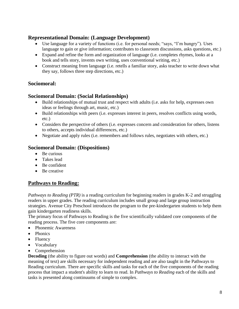#### **Representational Domain: (Language Development)**

- Use language for a variety of functions (i.e. for personal needs; "says, "I'm hungry"). Uses language to gain or give information; contributes to classroom discussions, asks questions, etc.)
- Expand and refine the form and organization of language (i.e. completes rhymes, looks at a book and tells story, invents own writing, uses conventional writing, etc.)
- Construct meaning from language (i.e. retells a familiar story, asks teacher to write down what they say, follows three step directions, etc.)

# **Sociomoral:**

#### **Sociomoral Domain: (Social Relationships)**

- Build relationships of mutual trust and respect with adults (i.e. asks for help, expresses own ideas or feelings through art, music, etc.)
- Build relationships with peers (i.e. expresses interest in peers, resolves conflicts using words, etc.)
- Considers the perspective of others (i.e. expresses concern and consideration for others, listens to others, accepts individual differences, etc.)
- Negotiate and apply rules (i.e. remembers and follows rules, negotiates with others, etc.)

#### **Sociomoral Domain: (Dispositions)**

- Be curious
- Takes lead
- Be confident
- Be creative

# **Pathways to Reading:**

*Pathways to Reading (PTR)* is a reading curriculum for beginning readers in grades K-2 and struggling readers in upper grades. The reading curriculum includes small group and large group instruction strategies. Avenue City Preschool introduces the program to the pre-kindergarten students to help them gain kindergarten readiness skills.

The primary focus of Pathways to Reading is the [five scientifically validated core components of the](http://www.nichd.nih.gov/publications/nrp/smallbook.cfm)  [reading process.](http://www.nichd.nih.gov/publications/nrp/smallbook.cfm) The five core components are:

- Phonemic Awareness
- Phonics
- Fluency
- Vocabulary
- Comprehension

**Decoding** (the ability to figure out words) and **Comprehension** (the ability to interact with the meaning of text) are skills necessary for independent reading and are also taught in the Pathways to Reading curriculum. There are specific skills and tasks for each of the five components of the reading process that impact a student's ability to learn to read. In *Pathways to Reading* each of the skills and tasks is presented along continuums of simple to complex.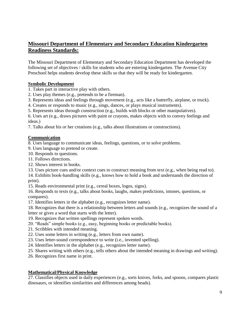#### **Missouri Department of Elementary and Secondary Education Kindergarten Readiness Standards:**

The Missouri Department of Elementary and Secondary Education Department has developed the following set of objectives / skills for students who are entering kindergarten. The Avenue City Preschool helps students develop these skills so that they will be ready for kindergarten.

#### **Symbolic Development**

- 1. Takes part in interactive play with others.
- 2. Uses play themes (e.g., pretends to be a fireman).
- 3. Represents ideas and feelings through movement (e.g., acts like a butterfly, airplane, or truck).
- 4. Creates or responds to music (e.g., sings, dances, or plays musical instruments).
- 5. Represents ideas through construction (e.g., builds with blocks or other manipulatives).

6. Uses art (e.g., draws pictures with paint or crayons, makes objects with to convey feelings and ideas.)

7. Talks about his or her creations (e.g., talks about illustrations or constructions).

#### **Communication**

8. Uses language to communicate ideas, feelings, questions, or to solve problems.

- 9. Uses language to pretend or create.
- 10. Responds to questions.
- 11. Follows directions.
- 12. Shows interest in books.
- 13. Uses picture cues and/or context cues to construct meaning from text (e.g., when being read to).

14. Exhibits book-handling skills (e.g., knows how to hold a book and understands the direction of print).

15. Reads environmental print (e.g., cereal boxes, logos, signs).

16. Responds to texts (e.g., talks about books, laughs, makes predictions, intones, questions, or compares).

17. Identifies letters in the alphabet (e.g., recognizes letter name).

18. Recognizes that there is a relationship between letters and sounds (e.g., recognizes the sound of a letter or gives a word that starts with the letter).

19. Recognizes that written spellings represent spoken words.

20. "Reads" simple books (e.g., easy, beginning books or predictable books).

- 21. Scribbles with intended meaning.
- 22. Uses some letters in writing (e.g., letters from own name).
- 23. Uses letter-sound correspondence to write (i.e., invented spelling).

24. Identifies letters in the alphabet (e.g., recognizes letter name).

25. Shares writing with others (e.g., tells others about the intended meaning in drawings and writing).

26. Recognizes first name in print.

#### **Mathematical/Physical Knowledge**

27. Classifies objects used in daily experiences (e.g., sorts knives, forks, and spoons, compares plastic dinosaurs, or identifies similarities and differences among beads).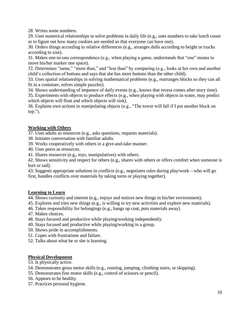28. Writes some numbers.

29. Uses numerical relationships to solve problems in daily life (e.g., uses numbers to take lunch count or to figure out how many cookies are needed so that everyone can have one).

30. Orders things according to relative differences (e.g., arranges dolls according to height or trucks according to size).

31. Makes one-to-one correspondence (e.g., when playing a game, understands that "one" means to move his/her marker one space).

32. Determines "same," "more than," and "less than" by comparing (e.g., looks at her own and another child's collection of buttons and says that she has more buttons than the other child).

33. Uses spatial relationships in solving mathematical problems (e.g., rearranges blocks so they can all fit in a container, solves simple puzzles).

34. Shows understanding of sequence of daily events (e.g., knows that recess comes after story time).

35. Experiments with objects to produce effects (e.g., when playing with objects in water, may predict which objects will float and which objects will sink).

36. Explains own actions in manipulating objects (e.g., "The tower will fall if I put another block on top.").

#### **Working with Others**

37. Uses adults as resources (e.g., asks questions, requests materials).

38. Initiates conversation with familiar adults.

39. Works cooperatively with others in a give-and-take manner.

40. Uses peers as resources.

41. Shares resources (e.g., toys, manipulatives) with others.

42. Shows sensitivity and respect for others (e.g., shares with others or offers comfort when someone is hurt or sad).

43. Suggests appropriate solutions to conflicts (e.g., negotiates rules during play/work—who will go first, handles conflicts over materials by taking turns or playing together).

#### **Learning to Learn**

44. Shows curiosity and interest (e.g., enjoys and notices new things in his/her environment).

45. Explores and tries new things (e.g., is willing to try new activities and explore new materials).

- 46. Takes responsibility for belongings (e.g., hangs up coat, puts materials away).
- 47. Makes choices.
- 48. Stays focused and productive while playing/working independently.
- 49. Stays focused and productive while playing/working in a group.
- 50. Shows pride in accomplishments.
- 51. Copes with frustrations and failure.
- 52. Talks about what he or she is learning.

#### **Physical Development**

- 53. Is physically active.
- 54. Demonstrates gross motor skills (e.g., running, jumping, climbing stairs, or skipping).
- 55. Demonstrates fine motor skills (e.g., control of scissors or pencil).
- 56. Appears to be healthy.
- 57. Practices personal hygiene.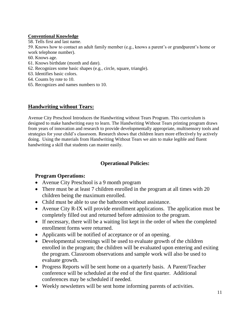#### **Conventional Knowledge**

58. Tells first and last name.

59. Knows how to contact an adult family member (e.g., knows a parent's or grandparent's home or work telephone number).

60. Knows age.

- 61. Knows birthdate (month and date).
- 62. Recognizes some basic shapes (e.g., circle, square, triangle).
- 63. Identifies basic colors.
- 64. Counts by rote to 10.
- 65. Recognizes and names numbers to 10.

#### **Handwriting without Tears:**

Avenue City Preschool Introduces the Handwriting without Tears Program. This curriculum is designed to make handwriting easy to learn. The Handwriting Without Tears printing program draws from years of innovation and research to provide developmentally appropriate, multisensory tools and strategies for your child's classroom. Research shows that children learn more effectively by actively doing. Using the materials from Handwriting Without Tears we aim to make legible and fluent handwriting a skill that students can master easily.

#### **Operational Policies:**

#### **Program Operations:**

- Avenue City Preschool is a 9 month program
- There must be at least 7 children enrolled in the program at all times with 20 children being the maximum enrolled.
- Child must be able to use the bathroom without assistance.
- Avenue City R-IX will provide enrollment applications. The application must be completely filled out and returned before admission to the program.
- If necessary, there will be a waiting list kept in the order of when the completed enrollment forms were returned.
- Applicants will be notified of acceptance or of an opening.
- Developmental screenings will be used to evaluate growth of the children enrolled in the program; the children will be evaluated upon entering and exiting the program. Classroom observations and sample work will also be used to evaluate growth.
- Progress Reports will be sent home on a quarterly basis. A Parent/Teacher conference will be scheduled at the end of the first quarter. Additional conferences may be scheduled if needed.
- Weekly newsletters will be sent home informing parents of activities.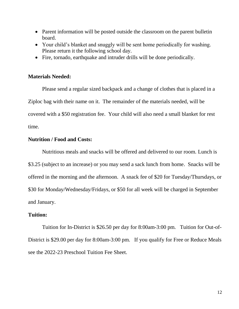- Parent information will be posted outside the classroom on the parent bulletin board.
- Your child's blanket and snuggly will be sent home periodically for washing. Please return it the following school day.
- Fire, tornado, earthquake and intruder drills will be done periodically.

#### **Materials Needed:**

Please send a regular sized backpack and a change of clothes that is placed in a Ziploc bag with their name on it. The remainder of the materials needed, will be covered with a \$50 registration fee. Your child will also need a small blanket for rest time.

#### **Nutrition / Food and Costs:**

Nutritious meals and snacks will be offered and delivered to our room. Lunch is \$3.25 (subject to an increase) or you may send a sack lunch from home. Snacks will be offered in the morning and the afternoon. A snack fee of \$20 for Tuesday/Thursdays, or \$30 for Monday/Wednesday/Fridays, or \$50 for all week will be charged in September and January.

#### **Tuition:**

Tuition for In-District is \$26.50 per day for 8:00am-3:00 pm. Tuition for Out-of-District is \$29.00 per day for 8:00am-3:00 pm. If you qualify for Free or Reduce Meals see the 2022-23 Preschool Tuition Fee Sheet.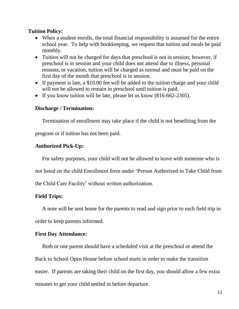#### **Tuition Policy:**

- When a student enrolls, the total financial responsibility is assumed for the entire school year. To help with bookkeeping, we request that tuition and meals be paid monthly.
- Tuition will not be charged for days that preschool is not in session; however, if preschool is in session and your child does not attend due to illness, personal reasons, or vacation, tuition will be charged as normal and must be paid on the first day of the month that preschool is in session.
- If payment is late, a \$10.00 fee will be added to the tuition charge and your child will not be allowed to remain in preschool until tuition is paid.
- If you know tuition will be late, please let us know (816-662-2305).

#### **Discharge / Termination:**

Termination of enrollment may take place if the child is not benefiting from the

program or if tuition has not been paid.

#### **Authorized Pick-Up:**

For safety purposes, your child will not be allowed to leave with someone who is

not listed on the child Enrollment form under 'Person Authorized to Take Child from

the Child Care Facility' without written authorization.

#### **Field Trips:**

A note will be sent home for the parents to read and sign prior to each field trip in order to keep parents informed.

#### **First Day Attendance:**

Both or one parent should have a scheduled visit at the preschool or attend the Back to School Open House before school starts in order to make the transition easier. If parents are taking their child on the first day, you should allow a few extra minutes to get your child settled in before departure.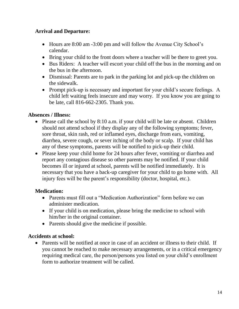# **Arrival and Departure:**

- Hours are 8:00 am -3:00 pm and will follow the Avenue City School's calendar.
- Bring your child to the front doors where a teacher will be there to greet you.
- Bus Riders: A teacher will escort your child off the bus in the morning and on the bus in the afternoon.
- Dismissal: Parents are to park in the parking lot and pick-up the children on the sidewalk.
- Prompt pick-up is necessary and important for your child's secure feelings. A child left waiting feels insecure and may worry. If you know you are going to be late, call 816-662-2305. Thank you.

# **Absences / Illness:**

- Please call the school by 8:10 a.m. if your child will be late or absent. Children should not attend school if they display any of the following symptoms; fever, sore throat, skin rash, red or inflamed eyes, discharge from ears, vomiting, diarrhea, severe cough, or sever itching of the body or scalp. If your child has any of these symptoms, parents will be notified to pick-up their child.
- Please keep your child home for 24 hours after fever, vomiting or diarrhea and report any contagious disease so other parents may be notified. If your child becomes ill or injured at school, parents will be notified immediately. It is necessary that you have a back-up caregiver for your child to go home with. All injury fees will be the parent's responsibility (doctor, hospital, etc.).

# **Medication:**

- Parents must fill out a "Medication Authorization" form before we can administer medication.
- If your child is on medication, please bring the medicine to school with him/her in the original container.
- Parents should give the medicine if possible.

#### **Accidents at school:**

• Parents will be notified at once in case of an accident or illness to their child. If you cannot be reached to make necessary arrangements, or in a critical emergency requiring medical care, the person/persons you listed on your child's enrollment form to authorize treatment will be called.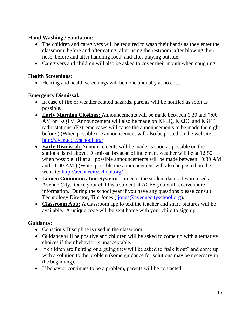# **Hand Washing / Sanitation:**

- The children and caregivers will be required to wash their hands as they enter the classroom, before and after eating, after using the restroom, after blowing their nose, before and after handling food, and after playing outside.
- Caregivers and children will also be asked to cover their mouth when coughing.

# **Health Screenings:**

Hearing and health screenings will be done annually at no cost.

# **Emergency Dismissal:**

- In case of fire or weather related hazards, parents will be notified as soon as possible.
- **Early Morning Closings:** Announcements will be made between 6:30 and 7:00 AM on KQTV. Announcement will also be made on KFEQ, KKJO, and KSFT radio stations. (Extreme cases will cause the announcements to be made the night before.) (When possible the announcement will also be posted on the website: <http://avenuecityschool.org/>
- **Early Dismissal:** Announcements will be made as soon as possible on the stations listed above. Dismissal because of inclement weather will be at 12:50 when possible. (If at all possible announcements will be made between 10:30 AM and 11:00 AM.) (When possible the announcement will also be posted on the website:<http://avenuecityschool.org/>
- **Lumen Communication System:** Lumen is the student data software used at Avenue City. Once your child is a student at ACES you will receive more information. During the school year if you have any questions please consult Technology Director, Tim Jones (tiones@avenuecityschool.org).
- **Classroom App:** A classroom app to text the teacher and share pictures will be available. A unique code will be sent home with your child to sign up.

# **Guidance:**

- Conscious Discipline is used in the classroom.
- Guidance will be positive and children will be asked to come up with alternative choices if their behavior is unacceptable.
- If children are fighting or arguing they will be asked to "talk it out" and come up with a solution to the problem (some guidance for solutions may be necessary in the beginning).
- If behavior continues to be a problem, parents will be contacted.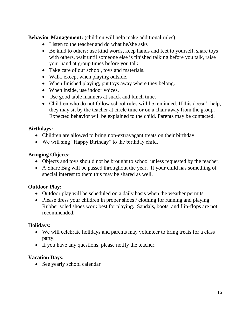**Behavior Management:** (children will help make additional rules)

- Listen to the teacher and do what he/she asks
- Be kind to others: use kind words, keep hands and feet to yourself, share toys with others, wait until someone else is finished talking before you talk, raise your hand at group times before you talk.
- Take care of our school, toys and materials.
- Walk, except when playing outside.
- When finished playing, put toys away where they belong.
- When inside, use indoor voices.
- Use good table manners at snack and lunch time.
- Children who do not follow school rules will be reminded. If this doesn't help, they may sit by the teacher at circle time or on a chair away from the group. Expected behavior will be explained to the child. Parents may be contacted.

# **Birthdays:**

- Children are allowed to bring non-extravagant treats on their birthday.
- We will sing "Happy Birthday" to the birthday child.

# **Bringing Objects:**

- Objects and toys should not be brought to school unless requested by the teacher.
- A Share Bag will be passed throughout the year. If your child has something of special interest to them this may be shared as well.

# **Outdoor Play:**

- Outdoor play will be scheduled on a daily basis when the weather permits.
- Please dress your children in proper shoes / clothing for running and playing. Rubber soled shoes work best for playing. Sandals, boots, and flip-flops are not recommended.

# **Holidays:**

- We will celebrate holidays and parents may volunteer to bring treats for a class party.
- If you have any questions, please notify the teacher.

# **Vacation Days:**

• See yearly school calendar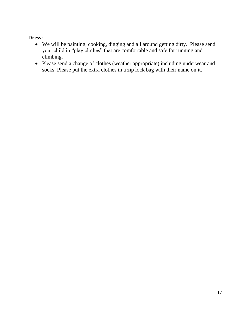#### **Dress:**

- We will be painting, cooking, digging and all around getting dirty. Please send your child in "play clothes" that are comfortable and safe for running and climbing.
- Please send a change of clothes (weather appropriate) including underwear and socks. Please put the extra clothes in a zip lock bag with their name on it.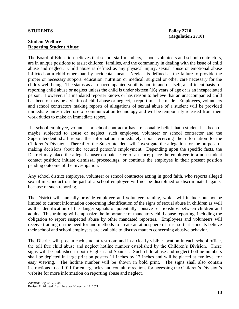#### **STUDENTS Policy 2710**

#### **Student Welfare Reporting Student Abuse**

The Board of Education believes that school staff members, school volunteers and school contractors, are in unique positions to assist children, families, and the community in dealing with the issue of child abuse and neglect. Child abuse is defined as any physical injury, sexual abuse or emotional abuse inflicted on a child other than by accidental means. Neglect is defined as the failure to provide the proper or necessary support, education, nutrition or medical, surgical or other care necessary for the child's well-being. The status as an unaccompanied youth is not, in and of itself, a sufficient basis for reporting child abuse or neglect unless the child is under sixteen (16) years of age or is an incapacitated person. However, if a mandated reporter knows or has reason to believe that an unaccompanied child has been or may be a victim of child abuse or neglect, a report must be made. Employees, volunteers and school contractors making reports of allegations of sexual abuse of a student will be provided immediate unrestricted use of communication technology and will be temporarily released from their work duties to make an immediate report.

If a school employee, volunteer or school contractor has a reasonable belief that a student has been or maybe subjected to abuse or neglect, such employee, volunteer or school contractor and the Superintendent shall report the information immediately upon receiving the information to the Children's Division. Thereafter, the Superintendent will investigate the allegation for the purpose of making decisions about the accused person's employment. Depending upon the specific facts, the District may place the alleged abuser on paid leave of absence; place the employee in a non-student contact position; initiate dismissal proceedings, or continue the employee in their present position pending outcome of the investigation.

Any school district employee, volunteer or school contractor acting in good faith, who reports alleged sexual misconduct on the part of a school employee will not be disciplined or discriminated against because of such reporting.

The District will annually provide employee and volunteer training, which will include but not be limited to current information concerning identification of the signs of sexual abuse in children as well as the identification of the danger signals of potentially abusive relationships between children and adults. This training will emphasize the importance of mandatory child abuse reporting, including the obligation to report suspected abuse by other mandated reporters. Employees and volunteers will receive training on the need for and methods to create an atmosphere of trust so that students believe their school and school employees are available to discuss matters concerning abusive behavior.

The District will post in each student restroom and in a clearly visible location in each school office, the toll free child abuse and neglect hotline number established by the Children's Division. These signs will be published in both English and Spanish. Such child abuse and neglect hotline numbers shall be depicted in large print on posters 11 inches by 17 inches and will be placed at eye level for easy viewing. The hotline number will be shown in bold print. The signs shall also contain instructions to call 911 for emergencies and contain directions for accessing the Children's Division's website for more information on reporting abuse and neglect.